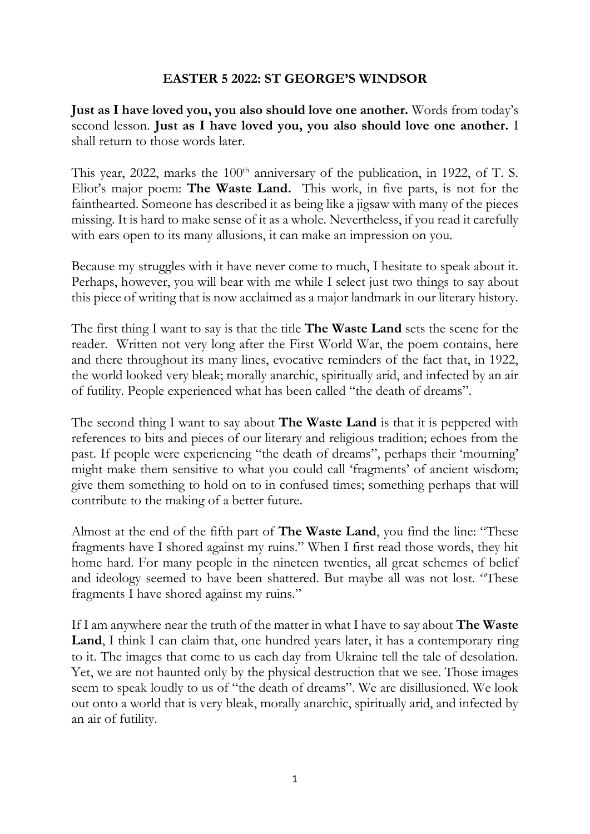## **EASTER 5 2022: ST GEORGE'S WINDSOR**

**Just as I have loved you, you also should love one another.** Words from today's second lesson. **Just as I have loved you, you also should love one another.** I shall return to those words later.

This year, 2022, marks the  $100<sup>th</sup>$  anniversary of the publication, in 1922, of T. S. Eliot's major poem: **The Waste Land.** This work, in five parts, is not for the fainthearted. Someone has described it as being like a jigsaw with many of the pieces missing. It is hard to make sense of it as a whole. Nevertheless, if you read it carefully with ears open to its many allusions, it can make an impression on you.

Because my struggles with it have never come to much, I hesitate to speak about it. Perhaps, however, you will bear with me while I select just two things to say about this piece of writing that is now acclaimed as a major landmark in our literary history.

The first thing I want to say is that the title **The Waste Land** sets the scene for the reader. Written not very long after the First World War, the poem contains, here and there throughout its many lines, evocative reminders of the fact that, in 1922, the world looked very bleak; morally anarchic, spiritually arid, and infected by an air of futility. People experienced what has been called "the death of dreams".

The second thing I want to say about **The Waste Land** is that it is peppered with references to bits and pieces of our literary and religious tradition; echoes from the past. If people were experiencing "the death of dreams", perhaps their 'mourning' might make them sensitive to what you could call 'fragments' of ancient wisdom; give them something to hold on to in confused times; something perhaps that will contribute to the making of a better future.

Almost at the end of the fifth part of **The Waste Land**, you find the line: "These fragments have I shored against my ruins." When I first read those words, they hit home hard. For many people in the nineteen twenties, all great schemes of belief and ideology seemed to have been shattered. But maybe all was not lost. "These fragments I have shored against my ruins."

If I am anywhere near the truth of the matter in what I have to say about **The Waste**  Land, I think I can claim that, one hundred years later, it has a contemporary ring to it. The images that come to us each day from Ukraine tell the tale of desolation. Yet, we are not haunted only by the physical destruction that we see. Those images seem to speak loudly to us of "the death of dreams". We are disillusioned. We look out onto a world that is very bleak, morally anarchic, spiritually arid, and infected by an air of futility.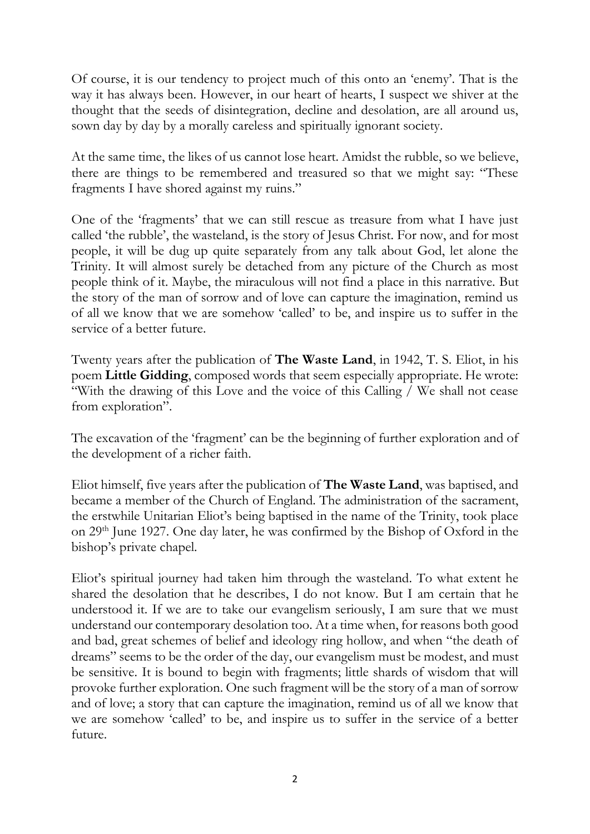Of course, it is our tendency to project much of this onto an 'enemy'. That is the way it has always been. However, in our heart of hearts, I suspect we shiver at the thought that the seeds of disintegration, decline and desolation, are all around us, sown day by day by a morally careless and spiritually ignorant society.

At the same time, the likes of us cannot lose heart. Amidst the rubble, so we believe, there are things to be remembered and treasured so that we might say: "These fragments I have shored against my ruins."

One of the 'fragments' that we can still rescue as treasure from what I have just called 'the rubble', the wasteland, is the story of Jesus Christ. For now, and for most people, it will be dug up quite separately from any talk about God, let alone the Trinity. It will almost surely be detached from any picture of the Church as most people think of it. Maybe, the miraculous will not find a place in this narrative. But the story of the man of sorrow and of love can capture the imagination, remind us of all we know that we are somehow 'called' to be, and inspire us to suffer in the service of a better future.

Twenty years after the publication of **The Waste Land**, in 1942, T. S. Eliot, in his poem **Little Gidding**, composed words that seem especially appropriate. He wrote: "With the drawing of this Love and the voice of this Calling / We shall not cease from exploration".

The excavation of the 'fragment' can be the beginning of further exploration and of the development of a richer faith.

Eliot himself, five years after the publication of **The Waste Land**, was baptised, and became a member of the Church of England. The administration of the sacrament, the erstwhile Unitarian Eliot's being baptised in the name of the Trinity, took place on 29th June 1927. One day later, he was confirmed by the Bishop of Oxford in the bishop's private chapel.

Eliot's spiritual journey had taken him through the wasteland. To what extent he shared the desolation that he describes, I do not know. But I am certain that he understood it. If we are to take our evangelism seriously, I am sure that we must understand our contemporary desolation too. At a time when, for reasons both good and bad, great schemes of belief and ideology ring hollow, and when "the death of dreams" seems to be the order of the day, our evangelism must be modest, and must be sensitive. It is bound to begin with fragments; little shards of wisdom that will provoke further exploration. One such fragment will be the story of a man of sorrow and of love; a story that can capture the imagination, remind us of all we know that we are somehow 'called' to be, and inspire us to suffer in the service of a better future.